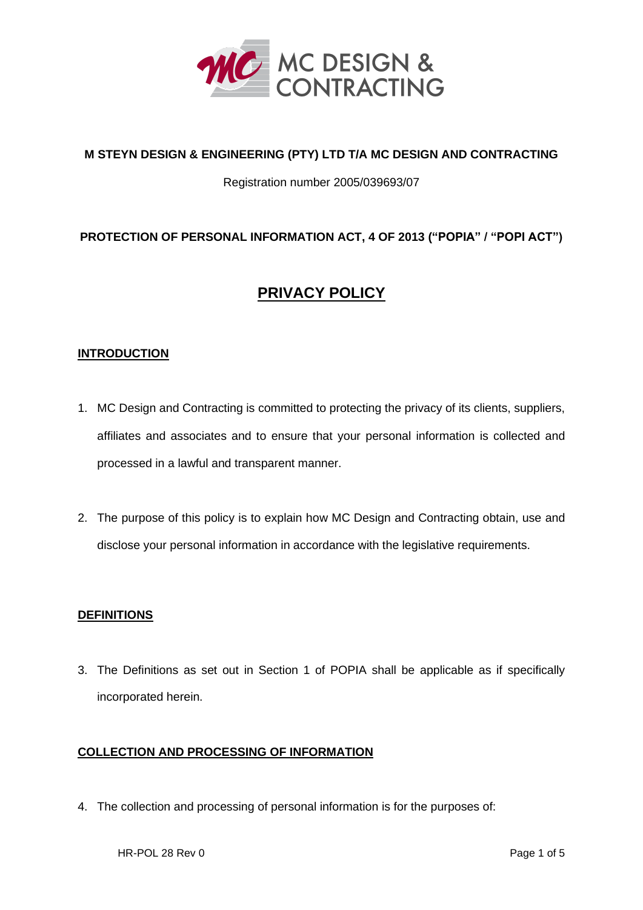

# **M STEYN DESIGN & ENGINEERING (PTY) LTD T/A MC DESIGN AND CONTRACTING**

#### Registration number 2005/039693/07

# **PROTECTION OF PERSONAL INFORMATION ACT, 4 OF 2013 ("POPIA" / "POPI ACT")**

# **PRIVACY POLICY**

#### **INTRODUCTION**

- 1. MC Design and Contracting is committed to protecting the privacy of its clients, suppliers, affiliates and associates and to ensure that your personal information is collected and processed in a lawful and transparent manner.
- 2. The purpose of this policy is to explain how MC Design and Contracting obtain, use and disclose your personal information in accordance with the legislative requirements.

#### **DEFINITIONS**

3. The Definitions as set out in Section 1 of POPIA shall be applicable as if specifically incorporated herein.

#### **COLLECTION AND PROCESSING OF INFORMATION**

4. The collection and processing of personal information is for the purposes of: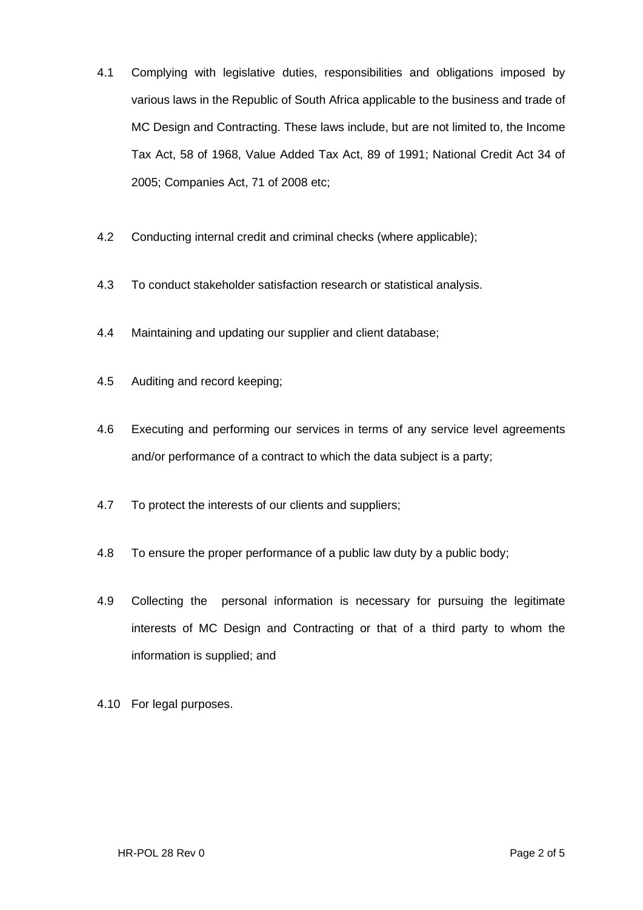- 4.1 Complying with legislative duties, responsibilities and obligations imposed by various laws in the Republic of South Africa applicable to the business and trade of MC Design and Contracting. These laws include, but are not limited to, the Income Tax Act, 58 of 1968, Value Added Tax Act, 89 of 1991; National Credit Act 34 of 2005; Companies Act, 71 of 2008 etc;
- 4.2 Conducting internal credit and criminal checks (where applicable);
- 4.3 To conduct stakeholder satisfaction research or statistical analysis.
- 4.4 Maintaining and updating our supplier and client database;
- 4.5 Auditing and record keeping;
- 4.6 Executing and performing our services in terms of any service level agreements and/or performance of a contract to which the data subject is a party;
- 4.7 To protect the interests of our clients and suppliers;
- 4.8 To ensure the proper performance of a public law duty by a public body;
- 4.9 Collecting the personal information is necessary for pursuing the legitimate interests of MC Design and Contracting or that of a third party to whom the information is supplied; and
- 4.10 For legal purposes.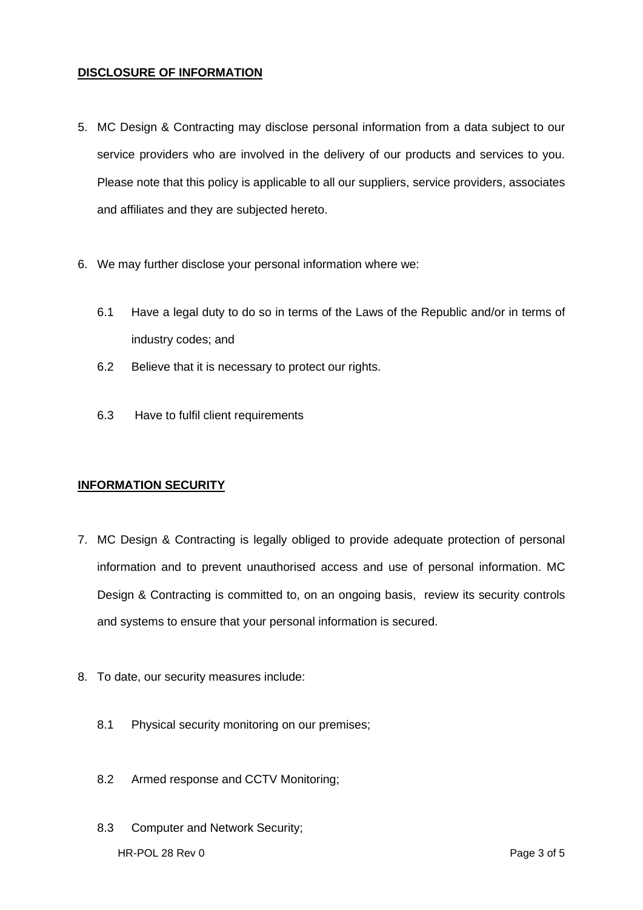#### **DISCLOSURE OF INFORMATION**

- 5. MC Design & Contracting may disclose personal information from a data subject to our service providers who are involved in the delivery of our products and services to you. Please note that this policy is applicable to all our suppliers, service providers, associates and affiliates and they are subjected hereto.
- 6. We may further disclose your personal information where we:
	- 6.1 Have a legal duty to do so in terms of the Laws of the Republic and/or in terms of industry codes; and
	- 6.2 Believe that it is necessary to protect our rights.
	- 6.3 Have to fulfil client requirements

#### **INFORMATION SECURITY**

- 7. MC Design & Contracting is legally obliged to provide adequate protection of personal information and to prevent unauthorised access and use of personal information. MC Design & Contracting is committed to, on an ongoing basis, review its security controls and systems to ensure that your personal information is secured.
- 8. To date, our security measures include:
	- 8.1 Physical security monitoring on our premises;
	- 8.2 Armed response and CCTV Monitoring;
	- 8.3 Computer and Network Security;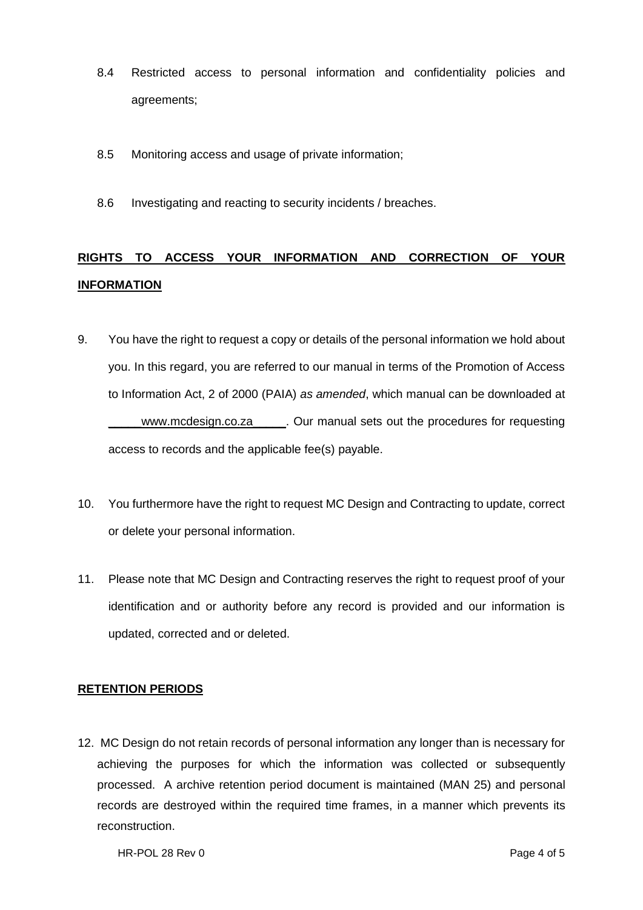- 8.4 Restricted access to personal information and confidentiality policies and agreements;
- 8.5 Monitoring access and usage of private information;
- 8.6 Investigating and reacting to security incidents / breaches.

# **RIGHTS TO ACCESS YOUR INFORMATION AND CORRECTION OF YOUR INFORMATION**

- 9. You have the right to request a copy or details of the personal information we hold about you. In this regard, you are referred to our manual in terms of the Promotion of Access to Information Act, 2 of 2000 (PAIA) *as amended*, which manual can be downloaded at www.mcdesign.co.za \_\_\_\_\_. Our manual sets out the procedures for requesting access to records and the applicable fee(s) payable.
- 10. You furthermore have the right to request MC Design and Contracting to update, correct or delete your personal information.
- 11. Please note that MC Design and Contracting reserves the right to request proof of your identification and or authority before any record is provided and our information is updated, corrected and or deleted.

# **RETENTION PERIODS**

12. MC Design do not retain records of personal information any longer than is necessary for achieving the purposes for which the information was collected or subsequently processed. A archive retention period document is maintained (MAN 25) and personal records are destroyed within the required time frames, in a manner which prevents its reconstruction.

HR-POL 28 Rev 0 Page 4 of 5